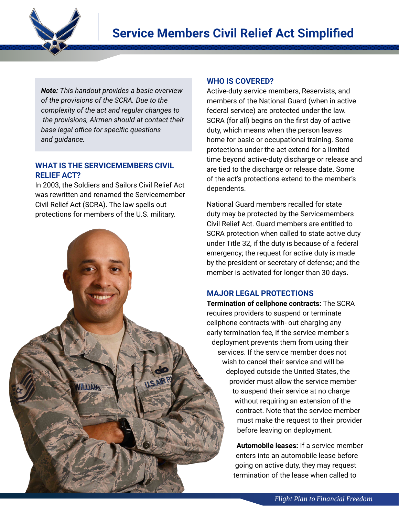

*Note: This handout provides a basic overview of the provisions of the SCRA. Due to the complexity of the act and regular changes to the provisions, Airmen should at contact their base legal office for specific questions and guidance.*

## **WHAT IS THE SERVICEMEMBERS CIVIL RELIEF ACT?**

In 2003, the Soldiers and Sailors Civil Relief Act was rewritten and renamed the Servicemember Civil Relief Act (SCRA). The law spells out

## **WHO IS COVERED?**

Active-duty service members, Reservists, and members of the National Guard (when in active federal service) are protected under the law. SCRA (for all) begins on the first day of active duty, which means when the person leaves home for basic or occupational training. Some protections under the act extend for a limited time beyond active-duty discharge or release and are tied to the discharge or release date. Some of the act's protections extend to the member's dependents.

National Guard members recalled for state duty may be protected by the Servicemembers Civil Relief Act. Guard members are entitled to SCRA protection when called to state active duty under Title 32, if the duty is because of a federal emergency; the request for active duty is made by the president or secretary of defense; and the member is activated for longer than 30 days.

## **MAJOR LEGAL PROTECTIONS**

**Termination of cellphone contracts:** The SCRA requires providers to suspend or terminate cellphone contracts with- out charging any early termination fee, if the service member's deployment prevents them from using their services. If the service member does not wish to cancel their service and will be deployed outside the United States, the provider must allow the service member to suspend their service at no charge without requiring an extension of the contract. Note that the service member must make the request to their provider before leaving on deployment.

> **Automobile leases:** If a service member enters into an automobile lease before going on active duty, they may request termination of the lease when called to